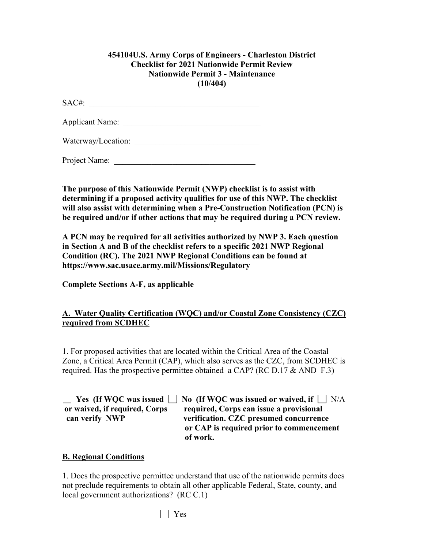#### **454104U.S. Army Corps of Engineers - Charleston District Checklist for 2021 Nationwide Permit Review Nationwide Permit 3 - Maintenance (10/404)**

SAC#: \_\_\_\_\_\_\_\_\_\_\_\_\_\_\_\_\_\_\_\_\_\_\_\_\_\_\_\_\_\_\_\_\_\_\_\_\_\_\_\_\_

Applicant Name: \_\_\_\_\_\_\_\_\_\_\_\_\_\_\_\_\_\_\_\_\_\_\_\_\_\_\_\_\_\_\_\_\_

Waterway/Location:

Project Name:

**The purpose of this Nationwide Permit (NWP) checklist is to assist with determining if a proposed activity qualifies for use of this NWP. The checklist will also assist with determining when a Pre-Construction Notification (PCN) is be required and/or if other actions that may be required during a PCN review.**

**A PCN may be required for all activities authorized by NWP 3. Each question in Section A and B of the checklist refers to a specific 2021 NWP Regional Condition (RC). The 2021 NWP Regional Conditions can be found at https://www.sac.usace.army.mil/Missions/Regulatory**

**Complete Sections A-F, as applicable**

### **A. Water Quality Certification (WQC) and/or Coastal Zone Consistency (CZC) required from SCDHEC**

1. For proposed activities that are located within the Critical Area of the Coastal Zone, a Critical Area Permit (CAP), which also serves as the CZC, from SCDHEC is required. Has the prospective permittee obtained a CAP? (RC D.17  $&$  AND F.3)

**EXECUTE:** Yes (If WQC was issued **No** (If WQC was issued or waived, if  $\Box$  N/A **or waived, if required, Corps required, Corps can issue a provisional can verify NWP verification. CZC presumed concurrence or CAP is required prior to commencement of work.**

### **B. Regional Conditions**

1. Does the prospective permittee understand that use of the nationwide permits does not preclude requirements to obtain all other applicable Federal, State, county, and local government authorizations? (RC C.1)

Yes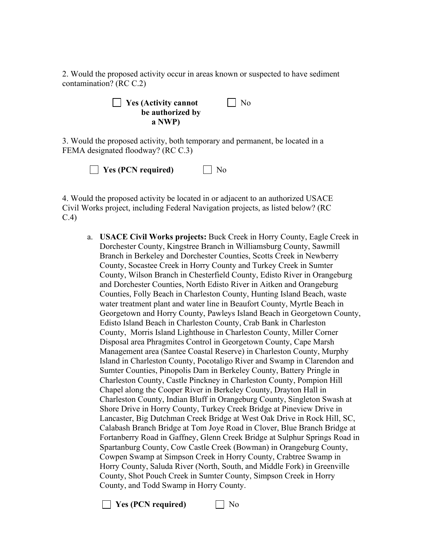2. Would the proposed activity occur in areas known or suspected to have sediment contamination? (RC C.2)

**Yes (Activity cannot** No  **be authorized by a NWP)** 

3. Would the proposed activity, both temporary and permanent, be located in a FEMA designated floodway? (RC C.3)

| $\Box$ Yes (PCN required) | $\Box$ No |
|---------------------------|-----------|
|---------------------------|-----------|

4. Would the proposed activity be located in or adjacent to an authorized USACE Civil Works project, including Federal Navigation projects, as listed below? (RC C.4)

a. **USACE Civil Works projects:** Buck Creek in Horry County, Eagle Creek in Dorchester County, Kingstree Branch in Williamsburg County, Sawmill Branch in Berkeley and Dorchester Counties, Scotts Creek in Newberry County, Socastee Creek in Horry County and Turkey Creek in Sumter County, Wilson Branch in Chesterfield County, Edisto River in Orangeburg and Dorchester Counties, North Edisto River in Aitken and Orangeburg Counties, Folly Beach in Charleston County, Hunting Island Beach, waste water treatment plant and water line in Beaufort County, Myrtle Beach in Georgetown and Horry County, Pawleys Island Beach in Georgetown County, Edisto Island Beach in Charleston County, Crab Bank in Charleston County, Morris Island Lighthouse in Charleston County, Miller Corner Disposal area Phragmites Control in Georgetown County, Cape Marsh Management area (Santee Coastal Reserve) in Charleston County, Murphy Island in Charleston County, Pocotaligo River and Swamp in Clarendon and Sumter Counties, Pinopolis Dam in Berkeley County, Battery Pringle in Charleston County, Castle Pinckney in Charleston County, Pompion Hill Chapel along the Cooper River in Berkeley County, Drayton Hall in Charleston County, Indian Bluff in Orangeburg County, Singleton Swash at Shore Drive in Horry County, Turkey Creek Bridge at Pineview Drive in Lancaster, Big Dutchman Creek Bridge at West Oak Drive in Rock Hill, SC, Calabash Branch Bridge at Tom Joye Road in Clover, Blue Branch Bridge at Fortanberry Road in Gaffney, Glenn Creek Bridge at Sulphur Springs Road in Spartanburg County, Cow Castle Creek (Bowman) in Orangeburg County, Cowpen Swamp at Simpson Creek in Horry County, Crabtree Swamp in Horry County, Saluda River (North, South, and Middle Fork) in Greenville County, Shot Pouch Creek in Sumter County, Simpson Creek in Horry County, and Todd Swamp in Horry County.

**T** Yes (PCN required) No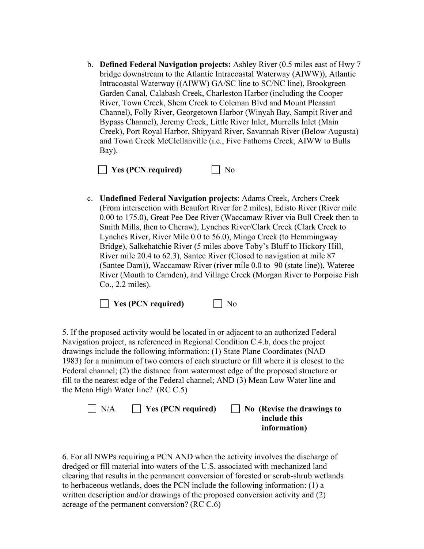b. **Defined Federal Navigation projects:** Ashley River (0.5 miles east of Hwy 7 bridge downstream to the Atlantic Intracoastal Waterway (AIWW)), Atlantic Intracoastal Waterway ((AIWW) GA/SC line to SC/NC line), Brookgreen Garden Canal, Calabash Creek, Charleston Harbor (including the Cooper River, Town Creek, Shem Creek to Coleman Blvd and Mount Pleasant Channel), Folly River, Georgetown Harbor (Winyah Bay, Sampit River and Bypass Channel), Jeremy Creek, Little River Inlet, Murrells Inlet (Main Creek), Port Royal Harbor, Shipyard River, Savannah River (Below Augusta) and Town Creek McClellanville (i.e., Five Fathoms Creek, AIWW to Bulls Bay).



c. **Undefined Federal Navigation projects**: Adams Creek, Archers Creek (From intersection with Beaufort River for 2 miles), Edisto River (River mile 0.00 to 175.0), Great Pee Dee River (Waccamaw River via Bull Creek then to Smith Mills, then to Cheraw), Lynches River/Clark Creek (Clark Creek to Lynches River, River Mile 0.0 to 56.0), Mingo Creek (to Hemmingway Bridge), Salkehatchie River (5 miles above Toby's Bluff to Hickory Hill, River mile 20.4 to 62.3), Santee River (Closed to navigation at mile 87 (Santee Dam)), Waccamaw River (river mile 0.0 to 90 (state line)), Wateree River (Mouth to Camden), and Village Creek (Morgan River to Porpoise Fish Co., 2.2 miles).

**No** Yes (PCN required) Mo

5. If the proposed activity would be located in or adjacent to an authorized Federal Navigation project, as referenced in Regional Condition C.4.b, does the project drawings include the following information: (1) State Plane Coordinates (NAD 1983) for a minimum of two corners of each structure or fill where it is closest to the Federal channel; (2) the distance from watermost edge of the proposed structure or fill to the nearest edge of the Federal channel; AND (3) Mean Low Water line and the Mean High Water line? (RC C.5)

| $\Box$ N/A | $\blacksquare$ Yes (PCN required) | $\Box$ No (Revise the drawings to |
|------------|-----------------------------------|-----------------------------------|
|            |                                   | include this                      |
|            |                                   | information)                      |

6. For all NWPs requiring a PCN AND when the activity involves the discharge of dredged or fill material into waters of the U.S. associated with mechanized land clearing that results in the permanent conversion of forested or scrub-shrub wetlands to herbaceous wetlands, does the PCN include the following information: (1) a written description and/or drawings of the proposed conversion activity and (2) acreage of the permanent conversion? (RC C.6)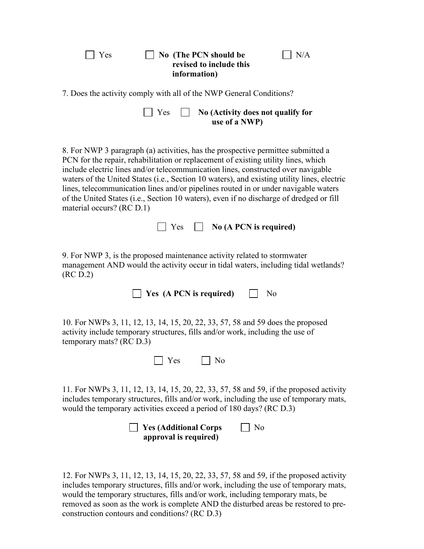| No (The PCN should be<br>N/A<br>Yes<br>revised to include this<br>information)                                                                                                                                                                                                                                                                                                                                                                                                                                                                                            |
|---------------------------------------------------------------------------------------------------------------------------------------------------------------------------------------------------------------------------------------------------------------------------------------------------------------------------------------------------------------------------------------------------------------------------------------------------------------------------------------------------------------------------------------------------------------------------|
| 7. Does the activity comply with all of the NWP General Conditions?                                                                                                                                                                                                                                                                                                                                                                                                                                                                                                       |
| Yes<br>No (Activity does not qualify for<br>use of a NWP)                                                                                                                                                                                                                                                                                                                                                                                                                                                                                                                 |
| 8. For NWP 3 paragraph (a) activities, has the prospective permittee submitted a<br>PCN for the repair, rehabilitation or replacement of existing utility lines, which<br>include electric lines and/or telecommunication lines, constructed over navigable<br>waters of the United States (i.e., Section 10 waters), and existing utility lines, electric<br>lines, telecommunication lines and/or pipelines routed in or under navigable waters<br>of the United States (i.e., Section 10 waters), even if no discharge of dredged or fill<br>material occurs? (RC D.1) |
| $\Box$ No (A PCN is required)<br><b>Yes</b>                                                                                                                                                                                                                                                                                                                                                                                                                                                                                                                               |
| 9. For NWP 3, is the proposed maintenance activity related to stormwater<br>management AND would the activity occur in tidal waters, including tidal wetlands?<br>(RC D.2)                                                                                                                                                                                                                                                                                                                                                                                                |
| Yes (A PCN is required)<br>No                                                                                                                                                                                                                                                                                                                                                                                                                                                                                                                                             |
| 10. For NWPs 3, 11, 12, 13, 14, 15, 20, 22, 33, 57, 58 and 59 does the proposed<br>activity include temporary structures, fills and/or work, including the use of<br>temporary mats? (RC D.3)                                                                                                                                                                                                                                                                                                                                                                             |
| $\Box$ Yes $\Box$ No                                                                                                                                                                                                                                                                                                                                                                                                                                                                                                                                                      |
| 11. For NWPs 3, 11, 12, 13, 14, 15, 20, 22, 33, 57, 58 and 59, if the proposed activity<br>includes temporary structures, fills and/or work, including the use of temporary mats,<br>would the temporary activities exceed a period of 180 days? (RC D.3)                                                                                                                                                                                                                                                                                                                 |
| <b>Yes (Additional Corps)</b><br>No<br>approval is required)                                                                                                                                                                                                                                                                                                                                                                                                                                                                                                              |
|                                                                                                                                                                                                                                                                                                                                                                                                                                                                                                                                                                           |

12. For NWPs 3, 11, 12, 13, 14, 15, 20, 22, 33, 57, 58 and 59, if the proposed activity includes temporary structures, fills and/or work, including the use of temporary mats, would the temporary structures, fills and/or work, including temporary mats, be removed as soon as the work is complete AND the disturbed areas be restored to preconstruction contours and conditions? (RC D.3)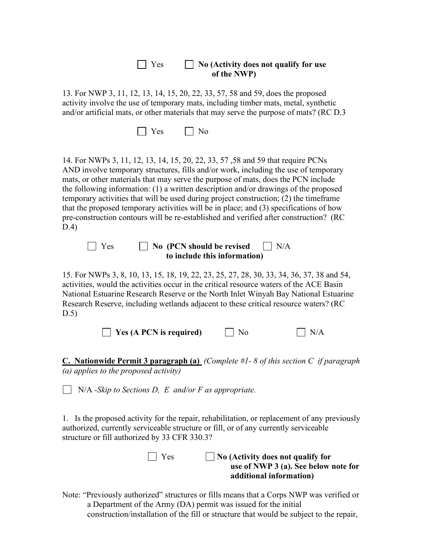| $\blacksquare$ Yes | $\Box$ No (Activity does not qualify for use<br>of the NWP) |
|--------------------|-------------------------------------------------------------|
|                    |                                                             |

13. For NWP 3, 11, 12, 13, 14, 15, 20, 22, 33, 57, 58 and 59, does the proposed activity involve the use of temporary mats, including timber mats, metal, synthetic and/or artificial mats, or other materials that may serve the purpose of mats? (RC D.3

14. For NWPs 3, 11, 12, 13, 14, 15, 20, 22, 33, 57 ,58 and 59 that require PCNs AND involve temporary structures, fills and/or work, including the use of temporary mats, or other materials that may serve the purpose of mats, does the PCN include the following information: (1) a written description and/or drawings of the proposed temporary activities that will be used during project construction; (2) the timeframe that the proposed temporary activities will be in place; and (3) specifications of how pre-construction contours will be re-established and verified after construction? (RC D.4)

**No (PCN should be revised** N/A **to include this information)**

15. For NWPs 3, 8, 10, 13, 15, 18, 19, 22, 23, 25, 27, 28, 30, 33, 34, 36, 37, 38 and 54, activities, would the activities occur in the critical resource waters of the ACE Basin National Estuarine Research Reserve or the North Inlet Winyah Bay National Estuarine Research Reserve, including wetlands adjacent to these critical resource waters? (RC D.5)

 $\Box$  Yes (A PCN is required)  $\Box$  No  $\Box$  N/A

**C. Nationwide Permit 3 paragraph (a)** *(Complete #1- 8 of this section C if paragraph (a) applies to the proposed activity)*

N/A -*Skip to Sections D, E and/or F as appropriate.*

1. Is the proposed activity for the repair, rehabilitation, or replacement of any previously authorized, currently serviceable structure or fill, or of any currently serviceable structure or fill authorized by 33 CFR 330.3?

> Yes **No (Activity does not qualify for use of NWP 3 (a). See below note for additional information)**

Note: "Previously authorized" structures or fills means that a Corps NWP was verified or a Department of the Army (DA) permit was issued for the initial construction/installation of the fill or structure that would be subject to the repair,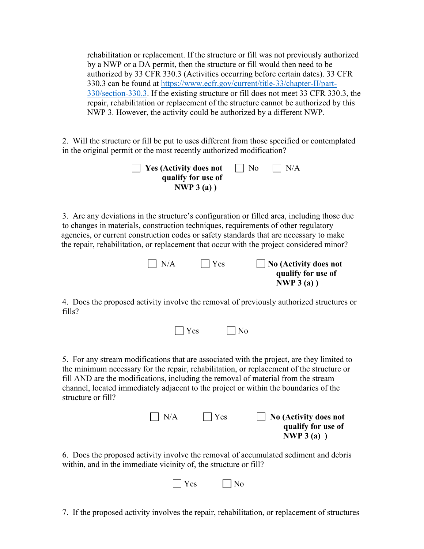rehabilitation or replacement. If the structure or fill was not previously authorized by a NWP or a DA permit, then the structure or fill would then need to be authorized by 33 CFR 330.3 (Activities occurring before certain dates). 33 CFR 330.3 can be found at [https://www.ecfr.gov/current/title-33/chapter-II/part-](https://www.ecfr.gov/current/title-33/chapter-II/part-330/section-330.3)[330/section-330.3.](https://www.ecfr.gov/current/title-33/chapter-II/part-330/section-330.3) If the existing structure or fill does not meet 33 CFR 330.3, the repair, rehabilitation or replacement of the structure cannot be authorized by this NWP 3. However, the activity could be authorized by a different NWP.

2. Will the structure or fill be put to uses different from those specified or contemplated in the original permit or the most recently authorized modification?

| $\vert$ Yes (Activity does not | No. | $\vert$ $\vert$ N/A |
|--------------------------------|-----|---------------------|
| qualify for use of             |     |                     |
| NWP $3(a)$ )                   |     |                     |

3. Are any deviations in the structure's configuration or filled area, including those due to changes in materials, construction techniques, requirements of other regulatory agencies, or current construction codes or safety standards that are necessary to make the repair, rehabilitation, or replacement that occur with the project considered minor?

| $\mid N/A$ | Yes | $\vert$ No (Activity does not |
|------------|-----|-------------------------------|
|            |     | qualify for use of            |
|            |     | NWP $3(a)$ )                  |

4. Does the proposed activity involve the removal of previously authorized structures or fills?

|  | $\Box$ Yes | $\Box$ No |
|--|------------|-----------|
|--|------------|-----------|

5. For any stream modifications that are associated with the project, are they limited to the minimum necessary for the repair, rehabilitation, or replacement of the structure or fill AND are the modifications, including the removal of material from the stream channel, located immediately adjacent to the project or within the boundaries of the structure or fill?

| $\Box$ No (Activity does not | $\Box$ Yes | $\vert$ $\vert$ N/A |  |
|------------------------------|------------|---------------------|--|
| qualify for use of           |            |                     |  |
| NWP $3(a)$ )                 |            |                     |  |

6. Does the proposed activity involve the removal of accumulated sediment and debris within, and in the immediate vicinity of, the structure or fill?

|  | $\mathbf{v}$<br>Y es | $^{\prime}$ No |
|--|----------------------|----------------|
|--|----------------------|----------------|

7. If the proposed activity involves the repair, rehabilitation, or replacement of structures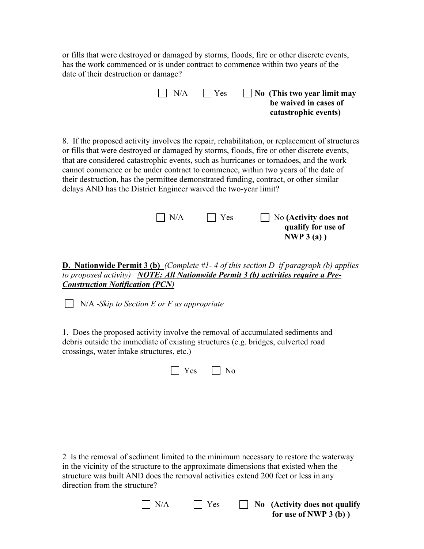or fills that were destroyed or damaged by storms, floods, fire or other discrete events, has the work commenced or is under contract to commence within two years of the date of their destruction or damage?

| $\mathsf{I} \mathsf{I}$ N/A | $\Box$ Yes | $\vert$ No (This two year limit may |
|-----------------------------|------------|-------------------------------------|
|                             |            | be waived in cases of               |
|                             |            | catastrophic events)                |

8. If the proposed activity involves the repair, rehabilitation, or replacement of structures or fills that were destroyed or damaged by storms, floods, fire or other discrete events, that are considered catastrophic events, such as hurricanes or tornadoes, and the work cannot commence or be under contract to commence, within two years of the date of their destruction, has the permittee demonstrated funding, contract, or other similar delays AND has the District Engineer waived the two-year limit?

| N/A | $\vert$   Yes | $\Box$ No (Activity does not |
|-----|---------------|------------------------------|
|     |               | qualify for use of           |
|     |               | NWP $3(a)$ )                 |
|     |               |                              |

**D. Nationwide Permit 3 (b)** *(Complete #1- 4 of this section D if paragraph (b) applies to proposed activity)**NOTE: All Nationwide Permit 3 (b) activities require a Pre-Construction Notification (PCN)*

N/A -*Skip to Section E or F as appropriate*

1. Does the proposed activity involve the removal of accumulated sediments and debris outside the immediate of existing structures (e.g. bridges, culverted road crossings, water intake structures, etc.)

|  |  | $\Box$ Yes $\Box$ No |  |  |
|--|--|----------------------|--|--|
|--|--|----------------------|--|--|

2 Is the removal of sediment limited to the minimum necessary to restore the waterway in the vicinity of the structure to the approximate dimensions that existed when the structure was built AND does the removal activities extend 200 feet or less in any direction from the structure?

| $\Box$ N/A | $\blacksquare$ Yes | $\Box$ No (Activity does not qualify |
|------------|--------------------|--------------------------------------|
|            |                    | for use of NWP $3(b)$ )              |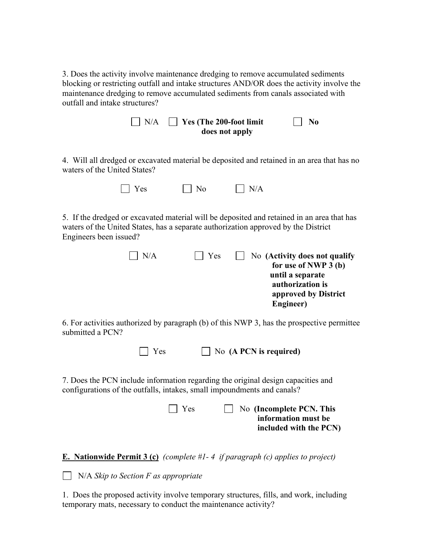3. Does the activity involve maintenance dredging to remove accumulated sediments blocking or restricting outfall and intake structures AND/OR does the activity involve the maintenance dredging to remove accumulated sediments from canals associated with outfall and intake structures?

| $\Box$ N/A | $\Box$ Yes (The 200-foot limit | $\vert$   No |
|------------|--------------------------------|--------------|
|            | does not apply                 |              |

4. Will all dredged or excavated material be deposited and retained in an area that has no waters of the United States?

| $\Box$ Yes | $\Box$ No | $\Box$ N/A |
|------------|-----------|------------|
|------------|-----------|------------|

5. If the dredged or excavated material will be deposited and retained in an area that has waters of the United States, has a separate authorization approved by the District Engineers been issued?

| $\vert$ $\vert$ N/A | $\vert$   Yes | $\vert$ $\vert$ No (Activity does not qualify<br>for use of NWP 3 (b)<br>until a separate<br>authorization is<br>approved by District |
|---------------------|---------------|---------------------------------------------------------------------------------------------------------------------------------------|
|                     |               | Engineer)                                                                                                                             |

6. For activities authorized by paragraph (b) of this NWP 3, has the prospective permittee submitted a PCN?

| $\Box$ Yes | $\Box$ No (A PCN is required) |
|------------|-------------------------------|
|------------|-------------------------------|

7. Does the PCN include information regarding the original design capacities and configurations of the outfalls, intakes, small impoundments and canals?

| l Yes | No (Incomplete PCN. This |
|-------|--------------------------|
|       | information must be      |
|       | included with the PCN)   |

**E. Nationwide Permit 3 (c)** *(complete #1- 4 if paragraph (c) applies to project)*

N/A *Skip to Section F as appropriate*

1. Does the proposed activity involve temporary structures, fills, and work, including temporary mats, necessary to conduct the maintenance activity?